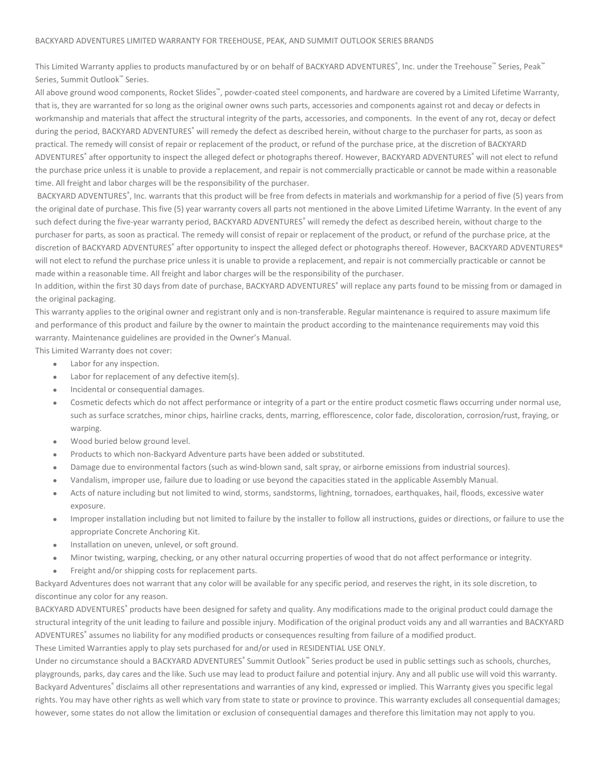## BACKYARD ADVENTURES LIMITED WARRANTY FOR TREEHOUSE, PEAK, AND SUMMIT OUTLOOK SERIES BRANDS

This Limited Warranty applies to products manufactured by or on behalf of BACKYARD ADVENTURES®, Inc. under the Treehouse™ Series, Peak™ Series, Summit Outlook™ Series.

All above ground wood components, Rocket Slides™, powder-coated steel components, and hardware are covered by a Limited Lifetime Warranty, that is, they are warranted for so long as the original owner owns such parts, accessories and components against rot and decay or defects in workmanship and materials that affect the structural integrity of the parts, accessories, and components. In the event of any rot, decay or defect during the period, BACKYARD ADVENTURES<sup>®</sup> will remedy the defect as described herein, without charge to the purchaser for parts, as soon as practical. The remedy will consist of repair or replacement of the product, or refund of the purchase price, at the discretion of BACKYARD ADVENTURES® after opportunity to inspect the alleged defect or photographs thereof. However, BACKYARD ADVENTURES® will not elect to refund the purchase price unless it is unable to provide a replacement, and repair is not commercially practicable or cannot be made within a reasonable time. All freight and labor charges will be the responsibility of the purchaser.

BACKYARD ADVENTURES®, Inc. warrants that this product will be free from defects in materials and workmanship for a period of five (5) years from the original date of purchase. This five (5) year warranty covers all parts not mentioned in the above Limited Lifetime Warranty. In the event of any such defect during the five-year warranty period, BACKYARD ADVENTURES® will remedy the defect as described herein, without charge to the purchaser for parts, as soon as practical. The remedy will consist of repair or replacement of the product, or refund of the purchase price, at the discretion of BACKYARD ADVENTURES® after opportunity to inspect the alleged defect or photographs thereof. However, BACKYARD ADVENTURES® will not elect to refund the purchase price unless it is unable to provide a replacement, and repair is not commercially practicable or cannot be made within a reasonable time. All freight and labor charges will be the responsibility of the purchaser.

In addition, within the first 30 days from date of purchase, BACKYARD ADVENTURES® will replace any parts found to be missing from or damaged in the original packaging.

This warranty applies to the original owner and registrant only and is non-transferable. Regular maintenance is required to assure maximum life and performance of this product and failure by the owner to maintain the product according to the maintenance requirements may void this warranty. Maintenance guidelines are provided in the Owner's Manual.

This Limited Warranty does not cover:

- Labor for any inspection.
- Labor for replacement of any defective item(s).
- Incidental or consequential damages.
- Cosmetic defects which do not affect performance or integrity of a part or the entire product cosmetic flaws occurring under normal use, such as surface scratches, minor chips, hairline cracks, dents, marring, efflorescence, color fade, discoloration, corrosion/rust, fraying, or warping.
- Wood buried below ground level.
- Products to which non-Backyard Adventure parts have been added or substituted.
- Damage due to environmental factors (such as wind-blown sand, salt spray, or airborne emissions from industrial sources).
- Vandalism, improper use, failure due to loading or use beyond the capacities stated in the applicable Assembly Manual.
- Acts of nature including but not limited to wind, storms, sandstorms, lightning, tornadoes, earthquakes, hail, floods, excessive water exposure.
- Improper installation including but not limited to failure by the installer to follow all instructions, guides or directions, or failure to use the appropriate Concrete Anchoring Kit.
- Installation on uneven, unlevel, or soft ground.
- Minor twisting, warping, checking, or any other natural occurring properties of wood that do not affect performance or integrity.
- Freight and/or shipping costs for replacement parts.

Backyard Adventures does not warrant that any color will be available for any specific period, and reserves the right, in its sole discretion, to discontinue any color for any reason.

BACKYARD ADVENTURES® products have been designed for safety and quality. Any modifications made to the original product could damage the structural integrity of the unit leading to failure and possible injury. Modification of the original product voids any and all warranties and BACKYARD ADVENTURES® assumes no liability for any modified products or consequences resulting from failure of a modified product.

These Limited Warranties apply to play sets purchased for and/or used in RESIDENTIAL USE ONLY.

Under no circumstance should a BACKYARD ADVENTURES® Summit Outlook™ Series product be used in public settings such as schools, churches, playgrounds, parks, day cares and the like. Such use may lead to product failure and potential injury. Any and all public use will void this warranty. Backyard Adventures® disclaims all other representations and warranties of any kind, expressed or implied. This Warranty gives you specific legal rights. You may have other rights as well which vary from state to state or province to province. This warranty excludes all consequential damages; however, some states do not allow the limitation or exclusion of consequential damages and therefore this limitation may not apply to you.